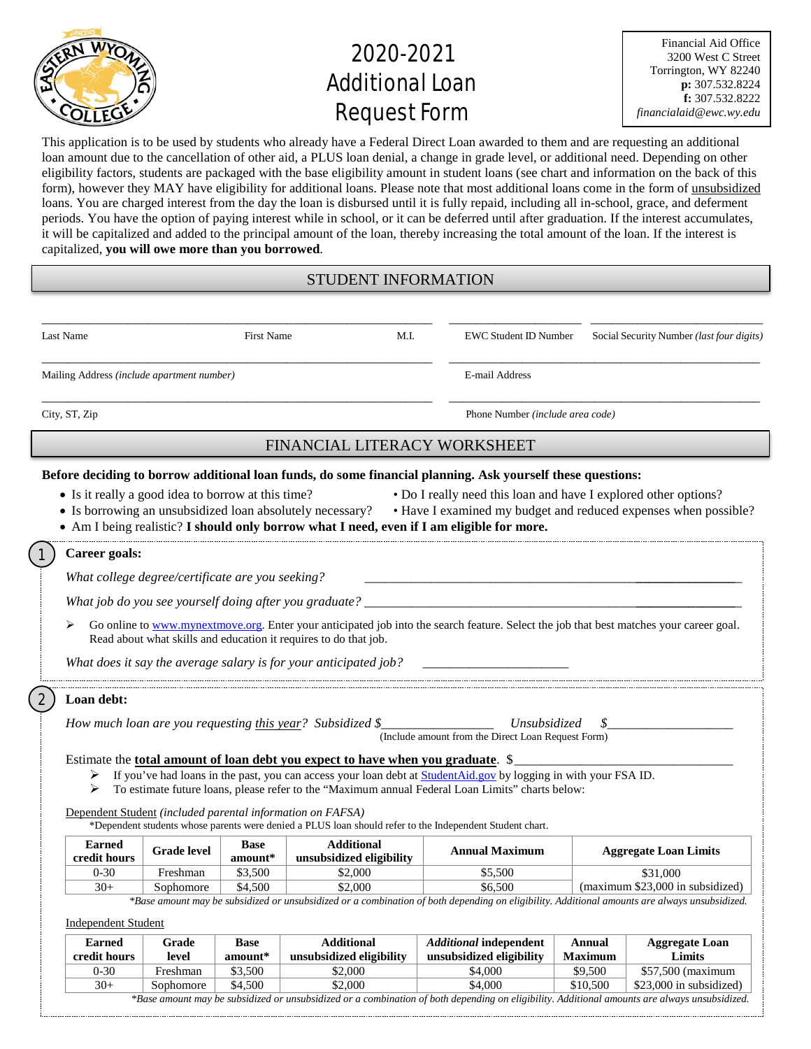

# 2020-2021 **Additional Loan** Request Form

Financial Aid Office 3200 West C Street Torrington, WY 82240 **p:** 307.532.8224 **f:** 307.532.8222 *financialaid@ewc.wy.edu*

This application is to be used by students who already have a Federal Direct Loan awarded to them and are requesting an additional loan amount due to the cancellation of other aid, a PLUS loan denial, a change in grade level, or additional need. Depending on other eligibility factors, students are packaged with the base eligibility amount in student loans (see chart and information on the back of this form), however they MAY have eligibility for additional loans. Please note that most additional loans come in the form of unsubsidized loans. You are charged interest from the day the loan is disbursed until it is fully repaid, including all in-school, grace, and deferment periods. You have the option of paying interest while in school, or it can be deferred until after graduation. If the interest accumulates, it will be capitalized and added to the principal amount of the loan, thereby increasing the total amount of the loan. If the interest is capitalized, **you will owe more than you borrowed**.

# STUDENT INFORMATION

| Last Name                                                                                                                                                                                                                                                                                                                                          |                                                                                                                                                                                                                                                                                                                                                                                                                                                                                             |                    | <b>First Name</b>        | M.I.                                                      | <b>EWC Student ID Number</b>                                       |                                  | Social Security Number (last four digits) |  |
|----------------------------------------------------------------------------------------------------------------------------------------------------------------------------------------------------------------------------------------------------------------------------------------------------------------------------------------------------|---------------------------------------------------------------------------------------------------------------------------------------------------------------------------------------------------------------------------------------------------------------------------------------------------------------------------------------------------------------------------------------------------------------------------------------------------------------------------------------------|--------------------|--------------------------|-----------------------------------------------------------|--------------------------------------------------------------------|----------------------------------|-------------------------------------------|--|
|                                                                                                                                                                                                                                                                                                                                                    | Mailing Address (include apartment number)                                                                                                                                                                                                                                                                                                                                                                                                                                                  |                    |                          | E-mail Address                                            |                                                                    |                                  |                                           |  |
| City, ST, Zip                                                                                                                                                                                                                                                                                                                                      |                                                                                                                                                                                                                                                                                                                                                                                                                                                                                             |                    |                          |                                                           |                                                                    | Phone Number (include area code) |                                           |  |
|                                                                                                                                                                                                                                                                                                                                                    |                                                                                                                                                                                                                                                                                                                                                                                                                                                                                             |                    |                          | FINANCIAL LITERACY WORKSHEET                              |                                                                    |                                  |                                           |  |
| Before deciding to borrow additional loan funds, do some financial planning. Ask yourself these questions:                                                                                                                                                                                                                                         |                                                                                                                                                                                                                                                                                                                                                                                                                                                                                             |                    |                          |                                                           |                                                                    |                                  |                                           |  |
| • Is it really a good idea to borrow at this time?<br>• Do I really need this loan and have I explored other options?<br>• Have I examined my budget and reduced expenses when possible?<br>• Is borrowing an unsubsidized loan absolutely necessary?<br>• Am I being realistic? I should only borrow what I need, even if I am eligible for more. |                                                                                                                                                                                                                                                                                                                                                                                                                                                                                             |                    |                          |                                                           |                                                                    |                                  |                                           |  |
| $\mathbf{1}$<br>Career goals:                                                                                                                                                                                                                                                                                                                      |                                                                                                                                                                                                                                                                                                                                                                                                                                                                                             |                    |                          |                                                           |                                                                    |                                  |                                           |  |
|                                                                                                                                                                                                                                                                                                                                                    | What college degree/certificate are you seeking?                                                                                                                                                                                                                                                                                                                                                                                                                                            |                    |                          |                                                           |                                                                    |                                  |                                           |  |
|                                                                                                                                                                                                                                                                                                                                                    |                                                                                                                                                                                                                                                                                                                                                                                                                                                                                             |                    |                          |                                                           |                                                                    |                                  |                                           |  |
|                                                                                                                                                                                                                                                                                                                                                    | Go online to www.mynextmove.org. Enter your anticipated job into the search feature. Select the job that best matches your career goal.<br>Read about what skills and education it requires to do that job.<br>What does it say the average salary is for your anticipated job?                                                                                                                                                                                                             |                    |                          |                                                           |                                                                    |                                  |                                           |  |
| $\mathbf{2}$                                                                                                                                                                                                                                                                                                                                       | Loan debt:                                                                                                                                                                                                                                                                                                                                                                                                                                                                                  |                    |                          | How much loan are you requesting this year? Subsidized \$ | Unsubsidized<br>(Include amount from the Direct Loan Request Form) | \$                               |                                           |  |
|                                                                                                                                                                                                                                                                                                                                                    | Estimate the total amount of loan debt you expect to have when you graduate. \$<br>If you've had loans in the past, you can access your loan debt at StudentAid.gov by logging in with your FSA ID.<br>➤<br>To estimate future loans, please refer to the "Maximum annual Federal Loan Limits" charts below:<br>➤<br>Dependent Student (included parental information on FAFSA)<br>*Dependent students whose parents were denied a PLUS loan should refer to the Independent Student chart. |                    |                          |                                                           |                                                                    |                                  |                                           |  |
|                                                                                                                                                                                                                                                                                                                                                    | <b>Earned</b><br>credit hours                                                                                                                                                                                                                                                                                                                                                                                                                                                               | <b>Grade level</b> | <b>Base</b><br>$amount*$ | <b>Additional</b><br>unsubsidized eligibility             | <b>Annual Maximum</b>                                              |                                  | <b>Aggregate Loan Limits</b>              |  |
|                                                                                                                                                                                                                                                                                                                                                    | $0 - 30$                                                                                                                                                                                                                                                                                                                                                                                                                                                                                    | Freshman           | \$3,500                  | \$2,000                                                   | \$5,500                                                            |                                  | \$31,000                                  |  |
|                                                                                                                                                                                                                                                                                                                                                    | $30+$                                                                                                                                                                                                                                                                                                                                                                                                                                                                                       | Sophomore          | \$4,500                  | \$2,000                                                   | \$6.500                                                            |                                  | (maximum \$23,000 in subsidized)          |  |
|                                                                                                                                                                                                                                                                                                                                                    | *Base amount may be subsidized or unsubsidized or a combination of both depending on eligibility. Additional amounts are always unsubsidized.<br><b>Independent Student</b>                                                                                                                                                                                                                                                                                                                 |                    |                          |                                                           |                                                                    |                                  |                                           |  |
|                                                                                                                                                                                                                                                                                                                                                    | <b>Earned</b>                                                                                                                                                                                                                                                                                                                                                                                                                                                                               | Grade              | <b>Base</b>              | <b>Additional</b>                                         | <b>Additional independent</b>                                      | <b>Annual</b>                    | <b>Aggregate Loan</b>                     |  |
|                                                                                                                                                                                                                                                                                                                                                    | credit hours                                                                                                                                                                                                                                                                                                                                                                                                                                                                                | level              | amount*                  | unsubsidized eligibility                                  | unsubsidized eligibility                                           | <b>Maximum</b>                   | Limits                                    |  |
|                                                                                                                                                                                                                                                                                                                                                    | $0 - 30$                                                                                                                                                                                                                                                                                                                                                                                                                                                                                    | Freshman           | \$3,500                  | \$2,000                                                   | \$4,000                                                            | \$9,500                          | \$57,500 (maximum                         |  |

30+ Sophomore \$4,500 \$2,000 \$4,000 \$10,500 \$23,000 in subsidized) *\*Base amount may be subsidized or unsubsidized or a combination of both depending on eligibility. Additional amounts are always unsubsidized.*